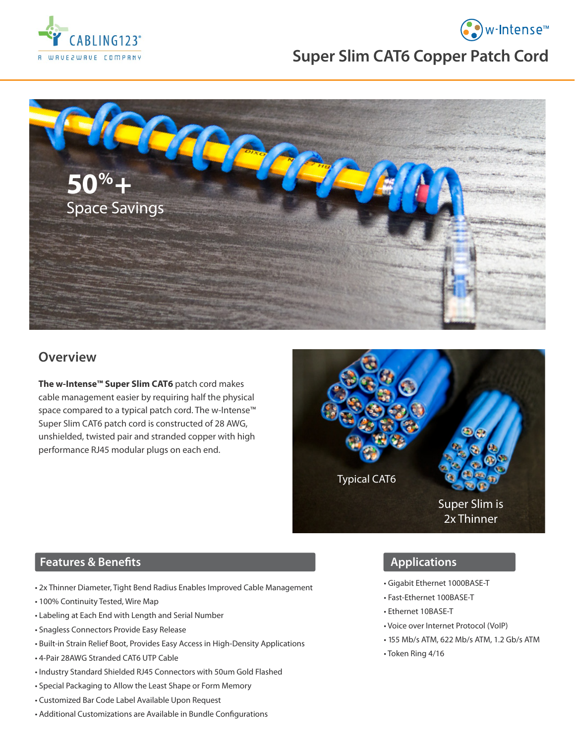

# **Super Slim CAT6 Copper Patch Cord**

• w-Intense<sup>™</sup>



## **Overview**

**The w-Intense™ Super Slim CAT6** patch cord makes cable management easier by requiring half the physical space compared to a typical patch cord. The w-Intense™ Super Slim CAT6 patch cord is constructed of 28 AWG, unshielded, twisted pair and stranded copper with high performance RJ45 modular plugs on each end.



#### **Features & Benefits**

- 2x Thinner Diameter, Tight Bend Radius Enables Improved Cable Management
- 100% Continuity Tested, Wire Map
- Labeling at Each End with Length and Serial Number
- Snagless Connectors Provide Easy Release
- Built-in Strain Relief Boot, Provides Easy Access in High-Density Applications
- 4-Pair 28AWG Stranded CAT6 UTP Cable
- Industry Standard Shielded RJ45 Connectors with 50um Gold Flashed
- Special Packaging to Allow the Least Shape or Form Memory
- Customized Bar Code Label Available Upon Request
- Additional Customizations are Available in Bundle Configurations

### **Applications**

- Gigabit Ethernet 1000BASE-T
- Fast-Ethernet 100BASE-T
- Ethernet 10BASE-T
- Voice over Internet Protocol (VoIP)
- 155 Mb/s ATM, 622 Mb/s ATM, 1.2 Gb/s ATM
- Token Ring 4/16